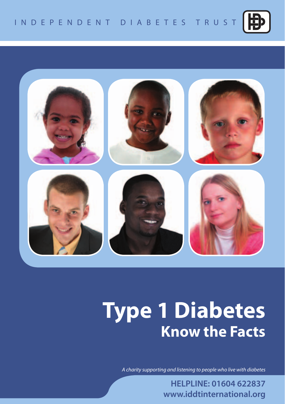



# **Type 1 Diabetes Know the Facts**

*A charity supporting and listening to people who live with diabetes*

**HELPLINE: 01604 622837 www.iddtinternational.org**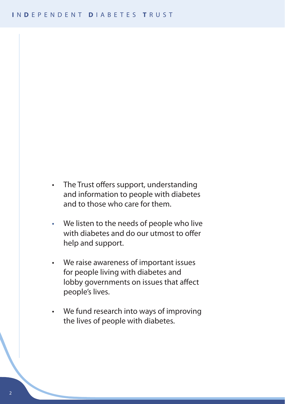- The Trust offers support, understanding and information to people with diabetes and to those who care for them.
- We listen to the needs of people who live with diabetes and do our utmost to offer help and support.
- • We raise awareness of important issues for people living with diabetes and lobby governments on issues that affect people's lives.
- • We fund research into ways of improving the lives of people with diabetes.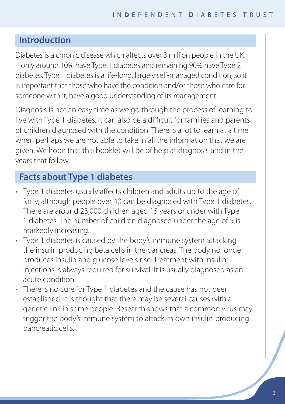# **Introduction**

Diabetes is a chronic disease which affects over 3 million people in the UK – only around 10% have Type 1 diabetes and remaining 90% have Type 2 diabetes. Type 1 diabetes is a life-long, largely self-managed condition, so it is important that those who have the condition and/or those who care for someone with it, have a good understanding of its management.

Diagnosis is not an easy time as we go through the process of learning to live with Type 1 diabetes. It can also be a difficult for families and parents of children diagnosed with the condition. There is a lot to learn at a time when perhaps we are not able to take in all the information that we are given. We hope that this booklet will be of help at diagnosis and in the years that follow.

# **Facts about Type 1 diabetes**

- Type 1 diabetes usually affects children and adults up to the age of forty, although people over 40 can be diagnosed with Type 1 diabetes. There are around 23,000 children aged 15 years or under with Type 1 diabetes. The number of children diagnosed under the age of 5 is markedly increasing.
- Type 1 diabetes is caused by the body's immune system attacking the insulin producing beta cells in the pancreas. The body no longer produces insulin and glucose levels rise. Treatment with insulin injections is always required for survival. It is usually diagnosed as an acute condition.
- There is no cure for Type 1 diabetes and the cause has not been established. It is thought that there may be several causes with a genetic link in some people. Research shows that a common virus may trigger the body's immune system to attack its own insulin-producing pancreatic cells.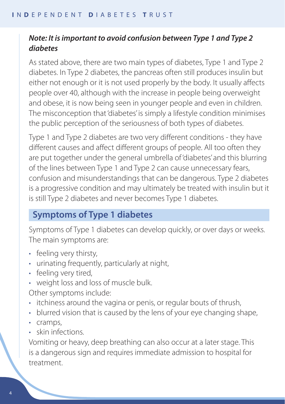## *Note: It is important to avoid confusion between Type 1 and Type 2 diabetes*

As stated above, there are two main types of diabetes, Type 1 and Type 2 diabetes. In Type 2 diabetes, the pancreas often still produces insulin but either not enough or it is not used properly by the body. It usually affects people over 40, although with the increase in people being overweight and obese, it is now being seen in younger people and even in children. The misconception that 'diabetes' is simply a lifestyle condition minimises the public perception of the seriousness of both types of diabetes.

Type 1 and Type 2 diabetes are two very different conditions - they have different causes and affect different groups of people. All too often they are put together under the general umbrella of 'diabetes' and this blurring of the lines between Type 1 and Type 2 can cause unnecessary fears, confusion and misunderstandings that can be dangerous. Type 2 diabetes is a progressive condition and may ultimately be treated with insulin but it is still Type 2 diabetes and never becomes Type 1 diabetes.

# **Symptoms of Type 1 diabetes**

Symptoms of Type 1 diabetes can develop quickly, or over days or weeks. The main symptoms are:

- feeling very thirsty,
- urinating frequently, particularly at night,
- feeling very tired,
- • weight loss and loss of muscle bulk.

Other symptoms include:

- itchiness around the vagina or penis, or regular bouts of thrush,
- blurred vision that is caused by the lens of your eye changing shape,
- • cramps,
- skin infections

Vomiting or heavy, deep breathing can also occur at a later stage. This is a dangerous sign and requires immediate admission to hospital for treatment.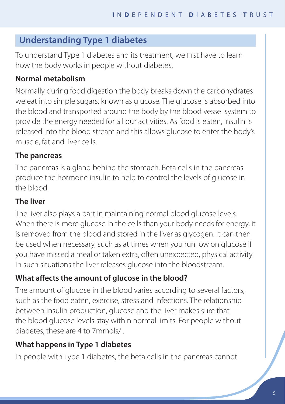# **Understanding Type 1 diabetes**

To understand Type 1 diabetes and its treatment, we first have to learn how the body works in people without diabetes.

## **Normal metabolism**

Normally during food digestion the body breaks down the carbohydrates we eat into simple sugars, known as glucose. The glucose is absorbed into the blood and transported around the body by the blood vessel system to provide the energy needed for all our activities. As food is eaten, insulin is released into the blood stream and this allows glucose to enter the body's muscle, fat and liver cells.

#### **The pancreas**

The pancreas is a gland behind the stomach. Beta cells in the pancreas produce the hormone insulin to help to control the levels of glucose in the blood.

## **The liver**

The liver also plays a part in maintaining normal blood glucose levels. When there is more glucose in the cells than your body needs for energy, it is removed from the blood and stored in the liver as glycogen. It can then be used when necessary, such as at times when you run low on glucose if you have missed a meal or taken extra, often unexpected, physical activity. In such situations the liver releases glucose into the bloodstream.

# **What affects the amount of glucose in the blood?**

The amount of glucose in the blood varies according to several factors, such as the food eaten, exercise, stress and infections. The relationship between insulin production, glucose and the liver makes sure that the blood glucose levels stay within normal limits. For people without diabetes, these are 4 to 7mmols/l.

# **What happens in Type 1 diabetes**

In people with Type 1 diabetes, the beta cells in the pancreas cannot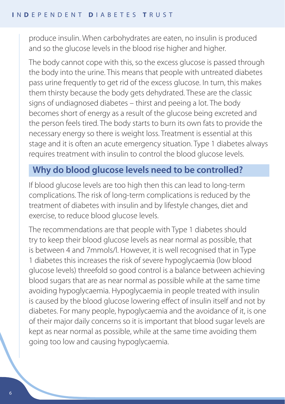produce insulin. When carbohydrates are eaten, no insulin is produced and so the glucose levels in the blood rise higher and higher.

The body cannot cope with this, so the excess glucose is passed through the body into the urine. This means that people with untreated diabetes pass urine frequently to get rid of the excess glucose. In turn, this makes them thirsty because the body gets dehydrated. These are the classic signs of undiagnosed diabetes – thirst and peeing a lot. The body becomes short of energy as a result of the glucose being excreted and the person feels tired. The body starts to burn its own fats to provide the necessary energy so there is weight loss. Treatment is essential at this stage and it is often an acute emergency situation. Type 1 diabetes always requires treatment with insulin to control the blood glucose levels.

# **Why do blood glucose levels need to be controlled?**

If blood glucose levels are too high then this can lead to long-term complications. The risk of long-term complications is reduced by the treatment of diabetes with insulin and by lifestyle changes, diet and exercise, to reduce blood glucose levels.

The recommendations are that people with Type 1 diabetes should try to keep their blood glucose levels as near normal as possible, that is between 4 and 7mmols/l. However, it is well recognised that in Type 1 diabetes this increases the risk of severe hypoglycaemia (low blood glucose levels) threefold so good control is a balance between achieving blood sugars that are as near normal as possible while at the same time avoiding hypoglycaemia. Hypoglycaemia in people treated with insulin is caused by the blood glucose lowering effect of insulin itself and not by diabetes. For many people, hypoglycaemia and the avoidance of it, is one of their major daily concerns so it is important that blood sugar levels are kept as near normal as possible, while at the same time avoiding them going too low and causing hypoglycaemia.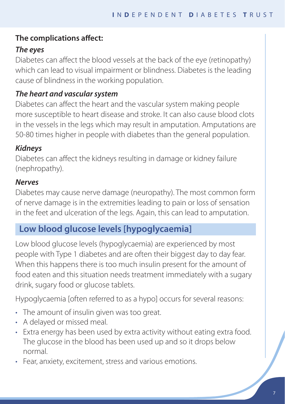## **The complications affect:**

# *The eyes*

Diabetes can affect the blood vessels at the back of the eye (retinopathy) which can lead to visual impairment or blindness. Diabetes is the leading cause of blindness in the working population.

# *The heart and vascular system*

Diabetes can affect the heart and the vascular system making people more susceptible to heart disease and stroke. It can also cause blood clots in the vessels in the legs which may result in amputation. Amputations are 50-80 times higher in people with diabetes than the general population.

# *Kidneys*

Diabetes can affect the kidneys resulting in damage or kidney failure (nephropathy).

## *Nerves*

Diabetes may cause nerve damage (neuropathy). The most common form of nerve damage is in the extremities leading to pain or loss of sensation in the feet and ulceration of the legs. Again, this can lead to amputation.

# **Low blood glucose levels [hypoglycaemia]**

Low blood glucose levels (hypoglycaemia) are experienced by most people with Type 1 diabetes and are often their biggest day to day fear. When this happens there is too much insulin present for the amount of food eaten and this situation needs treatment immediately with a sugary drink, sugary food or glucose tablets.

Hypoglycaemia [often referred to as a hypo] occurs for several reasons:

- The amount of insulin given was too great.
- A delayed or missed meal.
- Extra energy has been used by extra activity without eating extra food. The glucose in the blood has been used up and so it drops below normal.
- Fear, anxiety, excitement, stress and various emotions.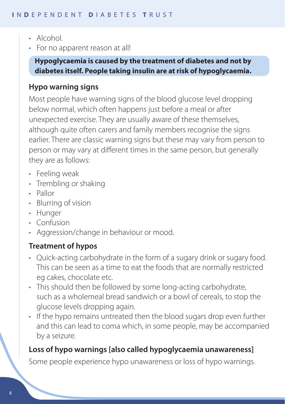- Alcohol
- For no apparent reason at all!

**Hypoglycaemia is caused by the treatment of diabetes and not by diabetes itself. People taking insulin are at risk of hypoglycaemia.**

#### **Hypo warning signs**

Most people have warning signs of the blood glucose level dropping below normal, which often happens just before a meal or after unexpected exercise. They are usually aware of these themselves, although quite often carers and family members recognise the signs earlier. There are classic warning signs but these may vary from person to person or may vary at different times in the same person, but generally they are as follows:

- Feeling weak
- Trembling or shaking
- • Pallor
- • Blurring of vision
- Hunger
- Confusion
- Aggression/change in behaviour or mood.

## **Treatment of hypos**

- Quick-acting carbohydrate in the form of a sugary drink or sugary food. This can be seen as a time to eat the foods that are normally restricted eg cakes, chocolate etc.
- This should then be followed by some long-acting carbohydrate, such as a wholemeal bread sandwich or a bowl of cereals, to stop the glucose levels dropping again.
- If the hypo remains untreated then the blood sugars drop even further and this can lead to coma which, in some people, may be accompanied by a seizure.

## **Loss of hypo warnings [also called hypoglycaemia unawareness]**

Some people experience hypo unawareness or loss of hypo warnings.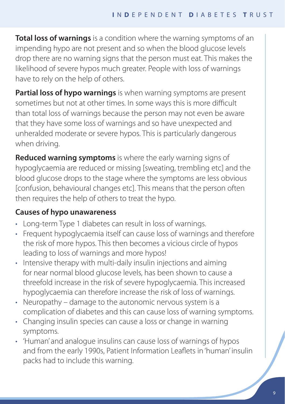**Total loss of warnings** is a condition where the warning symptoms of an impending hypo are not present and so when the blood glucose levels drop there are no warning signs that the person must eat. This makes the likelihood of severe hypos much greater. People with loss of warnings have to rely on the help of others.

**Partial loss of hypo warnings** is when warning symptoms are present sometimes but not at other times. In some ways this is more difficult than total loss of warnings because the person may not even be aware that they have some loss of warnings and so have unexpected and unheralded moderate or severe hypos. This is particularly dangerous when driving.

**Reduced warning symptoms** is where the early warning signs of hypoglycaemia are reduced or missing [sweating, trembling etc] and the blood glucose drops to the stage where the symptoms are less obvious [confusion, behavioural changes etc]. This means that the person often then requires the help of others to treat the hypo.

## **Causes of hypo unawareness**

- Long-term Type 1 diabetes can result in loss of warnings.
- Frequent hypoglycaemia itself can cause loss of warnings and therefore the risk of more hypos. This then becomes a vicious circle of hypos leading to loss of warnings and more hypos!
- Intensive therapy with multi-daily insulin injections and aiming for near normal blood glucose levels, has been shown to cause a threefold increase in the risk of severe hypoglycaemia. This increased hypoglycaemia can therefore increase the risk of loss of warnings.
- Neuropathy damage to the autonomic nervous system is a complication of diabetes and this can cause loss of warning symptoms.
- Changing insulin species can cause a loss or change in warning symptoms.
- 'Human' and analogue insulins can cause loss of warnings of hypos and from the early 1990s, Patient Information Leaflets in 'human' insulin packs had to include this warning.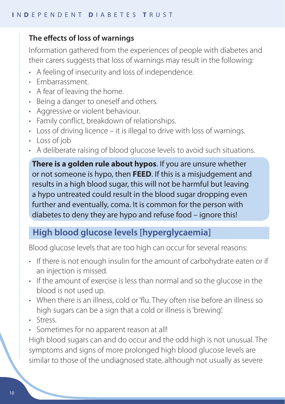## **The effects of loss of warnings**

Information gathered from the experiences of people with diabetes and their carers suggests that loss of warnings may result in the following:

- A feeling of insecurity and loss of independence.
- **Embarrassment**
- • A fear of leaving the home.
- • Being a danger to oneself and others.
- Aggressive or violent behaviour.
- Family conflict, breakdown of relationships.
- Loss of driving licence it is illegal to drive with loss of warnings.
- Loss of job
- A deliberate raising of blood glucose levels to avoid such situations.

**There is a golden rule about hypos**. If you are unsure whether or not someone is hypo, then **FEED**. If this is a misjudgement and results in a high blood sugar, this will not be harmful but leaving a hypo untreated could result in the blood sugar dropping even further and eventually, coma. It is common for the person with diabetes to deny they are hypo and refuse food – ignore this!

# **High blood glucose levels [hyperglycaemia]**

Blood glucose levels that are too high can occur for several reasons:

- If there is not enough insulin for the amount of carbohydrate eaten or if an injection is missed.
- If the amount of exercise is less than normal and so the glucose in the blood is not used up.
- When there is an illness, cold or 'flu. They often rise before an illness so high sugars can be a sign that a cold or illness is 'brewing'.
- • Stress.
- Sometimes for no apparent reason at all!

High blood sugars can and do occur and the odd high is not unusual. The symptoms and signs of more prolonged high blood glucose levels are similar to those of the undiagnosed state, although not usually as severe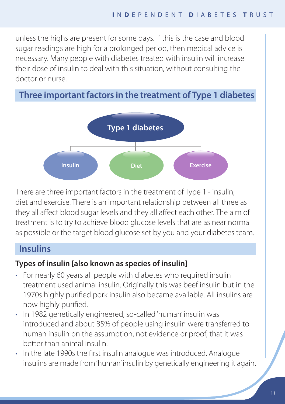unless the highs are present for some days. If this is the case and blood sugar readings are high for a prolonged period, then medical advice is necessary. Many people with diabetes treated with insulin will increase **Insulin or tablets Diet Exercise** their dose of insulin to deal with this situation, without consulting the doctor or nurse.

# **Three important factors in the treatment of Type 1 diabetes**



There are three important factors in the treatment of Type 1 - insulin, diet and exercise. There is an important relationship between all three as they all affect blood sugar levels and they all affect each other. The aim of treatment is to try to achieve blood glucose levels that are as near normal as possible or the target blood glucose set by you and your diabetes team.

# **Insulins**

## **Types of insulin [also known as species of insulin]**

- For nearly 60 years all people with diabetes who required insulin treatment used animal insulin. Originally this was beef insulin but in the 1970s highly purified pork insulin also became available. All insulins are now highly purified.
- In 1982 genetically engineered, so-called'human' insulin was introduced and about 85% of people using insulin were transferred to human insulin on the assumption, not evidence or proof, that it was better than animal insulin.
- In the late 1990s the first insulin analogue was introduced. Analogue insulins are made from'human'insulin by genetically engineering it again.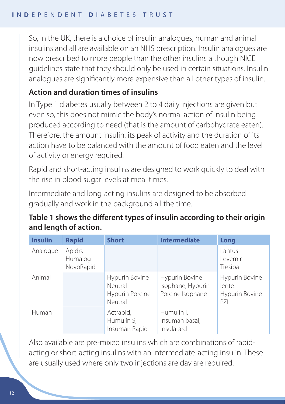So, in the UK, there is a choice of insulin analogues, human and animal insulins and all are available on an NHS prescription. Insulin analogues are now prescribed to more people than the other insulins although NICE guidelines state that they should only be used in certain situations. Insulin analogues are significantly more expensive than all other types of insulin.

# **Action and duration times of insulins**

In Type 1 diabetes usually between 2 to 4 daily injections are given but even so, this does not mimic the body's normal action of insulin being produced according to need (that is the amount of carbohydrate eaten). Therefore, the amount insulin, its peak of activity and the duration of its action have to be balanced with the amount of food eaten and the level of activity or energy required.

Rapid and short-acting insulins are designed to work quickly to deal with the rise in blood sugar levels at meal times.

Intermediate and long-acting insulins are designed to be absorbed gradually and work in the background all the time.

## **Table 1 shows the different types of insulin according to their origin and length of action.**

| insulin  | <b>Rapid</b>                   | <b>Short</b>                                            | <b>Intermediate</b>                                     | Long                                             |
|----------|--------------------------------|---------------------------------------------------------|---------------------------------------------------------|--------------------------------------------------|
| Analogue | Apidra<br>Humalog<br>NovoRapid |                                                         |                                                         | Lantus<br>Levemir<br>Tresiba                     |
| Animal   |                                | Hypurin Bovine<br>Neutral<br>Hypurin Porcine<br>Neutral | Hypurin Bovine<br>Isophane, Hypurin<br>Porcine Isophane | Hypurin Bovine<br>lente<br>Hypurin Bovine<br>P71 |
| Human    |                                | Actrapid,<br>Humulin S,<br>Insuman Rapid                | Humulin I,<br>Insuman basal,<br>Insulatard              |                                                  |

Also available are pre-mixed insulins which are combinations of rapidacting or short-acting insulins with an intermediate-acting insulin. These are usually used where only two injections are day are required.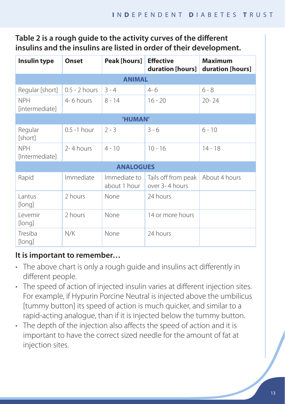# **Table 2 is a rough guide to the activity curves of the different insulins and the insulins are listed in order of their development.**

| Insulin type                 | <b>Onset</b>    | Peak [hours]                 | <b>Effective</b><br>duration [hours]  | <b>Maximum</b><br>duration [hours] |  |  |  |
|------------------------------|-----------------|------------------------------|---------------------------------------|------------------------------------|--|--|--|
| <b>ANIMAL</b>                |                 |                              |                                       |                                    |  |  |  |
| Regular [short]              | $0.5 - 2$ hours | $3 - 4$                      | $4 - 6$                               | $6 - 8$                            |  |  |  |
| <b>NPH</b><br>[intermediate] | 4-6 hours       |                              | $16 - 20$                             | $20 - 24$                          |  |  |  |
| 'HUMAN'                      |                 |                              |                                       |                                    |  |  |  |
| Regular<br>[short]           | 0.5 -1 hour     | $2 - 3$                      | $3 - 6$                               | $6 - 10$                           |  |  |  |
| <b>NPH</b><br>[Intermediate] | 2-4 hours       | $4 - 10$                     | $10 - 16$                             | $14 - 18$                          |  |  |  |
| <b>ANALOGUES</b>             |                 |                              |                                       |                                    |  |  |  |
| Rapid                        | Immediate       | Immediate to<br>about 1 hour | Tails off from peak<br>over 3-4 hours | About 4 hours                      |  |  |  |
| Lantus<br>[long]             | 2 hours         | None                         | 24 hours                              |                                    |  |  |  |
| Levemir<br>[long]            | 2 hours         | None                         | 14 or more hours                      |                                    |  |  |  |
| Tresiba<br>[long]            | N/K             | None                         | 24 hours                              |                                    |  |  |  |

## **It is important to remember…**

- The above chart is only a rough guide and insulins act differently in different people.
- The speed of action of injected insulin varies at different injection sites. For example, if Hypurin Porcine Neutral is injected above the umbilicus [tummy button] its speed of action is much quicker, and similar to a rapid-acting analogue, than if it is injected below the tummy button.
- The depth of the injection also affects the speed of action and it is important to have the correct sized needle for the amount of fat at injection sites.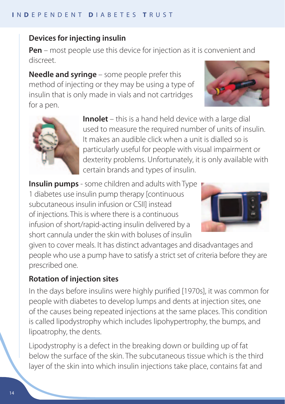## **Devices for injecting insulin**

**Pen** – most people use this device for injection as it is convenient and discreet.

**Needle and syringe** – some people prefer this method of injecting or they may be using a type of insulin that is only made in vials and not cartridges for a pen.





**Innolet** – this is a hand held device with a large dial used to measure the required number of units of insulin. It makes an audible click when a unit is dialled so is particularly useful for people with visual impairment or dexterity problems. Unfortunately, it is only available with certain brands and types of insulin.

**Insulin pumps** - some children and adults with Type

1 diabetes use insulin pump therapy [continuous subcutaneous insulin infusion or CSII] instead of injections. This is where there is a continuous infusion of short/rapid-acting insulin delivered by a short cannula under the skin with boluses of insulin



given to cover meals. It has distinct advantages and disadvantages and people who use a pump have to satisfy a strict set of criteria before they are prescribed one.

# **Rotation of injection sites**

In the days before insulins were highly purified [1970s], it was common for people with diabetes to develop lumps and dents at injection sites, one of the causes being repeated injections at the same places. This condition is called lipodystrophy which includes lipohypertrophy, the bumps, and lipoatrophy, the dents.

Lipodystrophy is a defect in the breaking down or building up of fat below the surface of the skin. The subcutaneous tissue which is the third layer of the skin into which insulin injections take place, contains fat and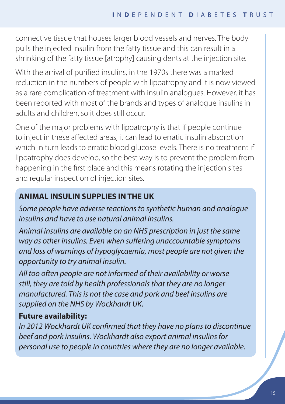connective tissue that houses larger blood vessels and nerves. The body pulls the injected insulin from the fatty tissue and this can result in a shrinking of the fatty tissue [atrophy] causing dents at the injection site.

With the arrival of purified insulins, in the 1970s there was a marked reduction in the numbers of people with lipoatrophy and it is now viewed as a rare complication of treatment with insulin analogues. However, it has been reported with most of the brands and types of analogue insulins in adults and children, so it does still occur.

One of the major problems with lipoatrophy is that if people continue to inject in these affected areas, it can lead to erratic insulin absorption which in turn leads to erratic blood glucose levels. There is no treatment if lipoatrophy does develop, so the best way is to prevent the problem from happening in the first place and this means rotating the injection sites and regular inspection of injection sites.

# **ANIMAL INSULIN SUPPLIES IN THE UK**

*Some people have adverse reactions to synthetic human and analogue insulins and have to use natural animal insulins.*

*Animal insulins are available on an NHS prescription in just the same way as other insulins. Even when suffering unaccountable symptoms and loss of warnings of hypoglycaemia, most people are not given the opportunity to try animal insulin.* 

*All too often people are not informed of their availability or worse still, they are told by health professionals that they are no longer manufactured. This is not the case and pork and beef insulins are supplied on the NHS by Wockhardt UK.*

# **Future availability:**

*In 2012 Wockhardt UK confirmed that they have no plans to discontinue beef and pork insulins. Wockhardt also export animal insulins for personal use to people in countries where they are no longer available.*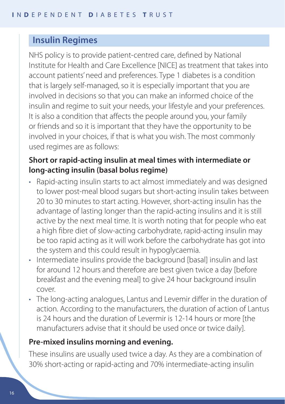# **Insulin Regimes**

NHS policy is to provide patient-centred care, defined by National Institute for Health and Care Excellence [NICE] as treatment that takes into account patients' need and preferences. Type 1 diabetes is a condition that is largely self-managed, so it is especially important that you are involved in decisions so that you can make an informed choice of the insulin and regime to suit your needs, your lifestyle and your preferences. It is also a condition that affects the people around you, your family or friends and so it is important that they have the opportunity to be involved in your choices, if that is what you wish. The most commonly used regimes are as follows:

## **Short or rapid-acting insulin at meal times with intermediate or long-acting insulin (basal bolus regime)**

- Rapid-acting insulin starts to act almost immediately and was designed to lower post-meal blood sugars but short-acting insulin takes between 20 to 30 minutes to start acting. However, short-acting insulin has the advantage of lasting longer than the rapid-acting insulins and it is still active by the next meal time. It is worth noting that for people who eat a high fibre diet of slow-acting carbohydrate, rapid-acting insulin may be too rapid acting as it will work before the carbohydrate has got into the system and this could result in hypoglycaemia.
- Intermediate insulins provide the background [basal] insulin and last for around 12 hours and therefore are best given twice a day [before breakfast and the evening meal] to give 24 hour background insulin cover.
- The long-acting analogues, Lantus and Levemir differ in the duration of action. According to the manufacturers, the duration of action of Lantus is 24 hours and the duration of Levermir is 12-14 hours or more [the manufacturers advise that it should be used once or twice daily].

## **Pre-mixed insulins morning and evening.**

These insulins are usually used twice a day. As they are a combination of 30% short-acting or rapid-acting and 70% intermediate-acting insulin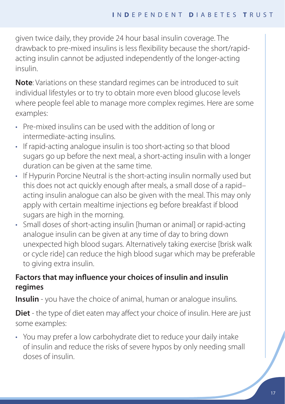given twice daily, they provide 24 hour basal insulin coverage. The drawback to pre-mixed insulins is less flexibility because the short/rapidacting insulin cannot be adjusted independently of the longer-acting insulin.

**Note**: Variations on these standard regimes can be introduced to suit individual lifestyles or to try to obtain more even blood glucose levels where people feel able to manage more complex regimes. Here are some examples:

- Pre-mixed insulins can be used with the addition of long or intermediate-acting insulins.
- If rapid-acting analogue insulin is too short-acting so that blood sugars go up before the next meal, a short-acting insulin with a longer duration can be given at the same time.
- If Hypurin Porcine Neutral is the short-acting insulin normally used but this does not act quickly enough after meals, a small dose of a rapid– acting insulin analogue can also be given with the meal. This may only apply with certain mealtime injections eg before breakfast if blood sugars are high in the morning.
- Small doses of short-acting insulin [human or animal] or rapid-acting analogue insulin can be given at any time of day to bring down unexpected high blood sugars. Alternatively taking exercise [brisk walk or cycle ride] can reduce the high blood sugar which may be preferable to giving extra insulin.

# **Factors that may influence your choices of insulin and insulin regimes**

**Insulin** - you have the choice of animal, human or analogue insulins.

**Diet** - the type of diet eaten may affect your choice of insulin. Here are just some examples:

• You may prefer a low carbohydrate diet to reduce your daily intake of insulin and reduce the risks of severe hypos by only needing small doses of insulin.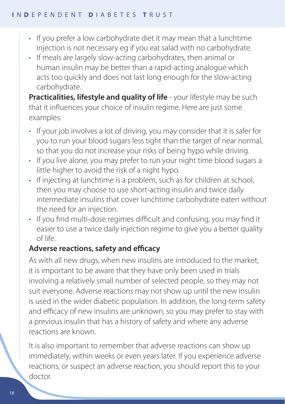- If you prefer a low carbohydrate diet it may mean that a lunchtime injection is not necessary eg if you eat salad with no carbohydrate.
- If meals are largely slow-acting carbohydrates, then animal or human insulin may be better than a rapid-acting analogue which acts too quickly and does not last long enough for the slow-acting carbohydrate.

**Practicalities, lifestyle and quality of life** - your lifestyle may be such that it influences your choice of insulin regime. Here are just some examples:

- If your job involves a lot of driving, you may consider that it is safer for you to run your blood sugars less tight than the target of near normal, so that you do not increase your risks of being hypo while driving.
- If you live alone, you may prefer to run your night time blood sugars a little higher to avoid the risk of a night hypo.
- If injecting at lunchtime is a problem, such as for children at school, then you may choose to use short-acting insulin and twice daily intermediate insulins that cover lunchtime carbohydrate eaten without the need for an injection.
- If you find multi-dose regimes difficult and confusing, you may find it easier to use a twice daily injection regime to give you a better quality of life.

# **Adverse reactions, safety and efficacy**

As with all new drugs, when new insulins are introduced to the market, it is important to be aware that they have only been used in trials involving a relatively small number of selected people, so they may not suit everyone. Adverse reactions may not show up until the new insulin is used in the wider diabetic population. In addition, the long-term safety and efficacy of new insulins are unknown, so you may prefer to stay with a previous insulin that has a history of safety and where any adverse reactions are known.

It is also important to remember that adverse reactions can show up immediately, within weeks or even years later. If you experience adverse reactions, or suspect an adverse reaction, you should report this to your doctor.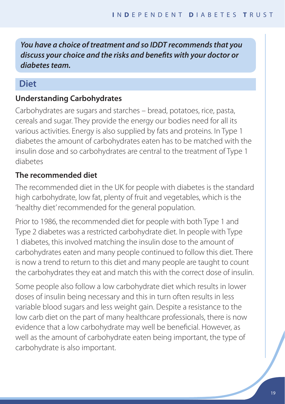*You have a choice of treatment and so IDDT recommends that you discuss your choice and the risks and benefits with your doctor or diabetes team.*

# **Diet**

# **Understanding Carbohydrates**

Carbohydrates are sugars and starches – bread, potatoes, rice, pasta, cereals and sugar. They provide the energy our bodies need for all its various activities. Energy is also supplied by fats and proteins. In Type 1 diabetes the amount of carbohydrates eaten has to be matched with the insulin dose and so carbohydrates are central to the treatment of Type 1 diabetes

# **The recommended diet**

The recommended diet in the UK for people with diabetes is the standard high carbohydrate, low fat, plenty of fruit and vegetables, which is the 'healthy diet' recommended for the general population.

Prior to 1986, the recommended diet for people with both Type 1 and Type 2 diabetes was a restricted carbohydrate diet. In people with Type 1 diabetes, this involved matching the insulin dose to the amount of carbohydrates eaten and many people continued to follow this diet. There is now a trend to return to this diet and many people are taught to count the carbohydrates they eat and match this with the correct dose of insulin.

Some people also follow a low carbohydrate diet which results in lower doses of insulin being necessary and this in turn often results in less variable blood sugars and less weight gain. Despite a resistance to the low carb diet on the part of many healthcare professionals, there is now evidence that a low carbohydrate may well be beneficial. However, as well as the amount of carbohydrate eaten being important, the type of carbohydrate is also important.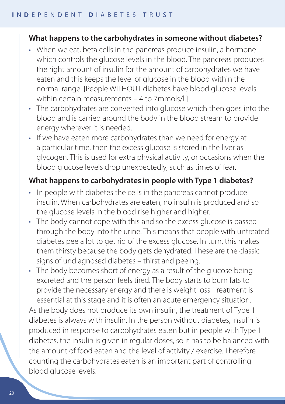## **What happens to the carbohydrates in someone without diabetes?**

- When we eat, beta cells in the pancreas produce insulin, a hormone which controls the glucose levels in the blood. The pancreas produces the right amount of insulin for the amount of carbohydrates we have eaten and this keeps the level of glucose in the blood within the normal range. [People WITHOUT diabetes have blood glucose levels within certain measurements – 4 to 7mmols/11
- The carbohydrates are converted into glucose which then goes into the blood and is carried around the body in the blood stream to provide energy wherever it is needed.
- If we have eaten more carbohydrates than we need for energy at a particular time, then the excess glucose is stored in the liver as glycogen. This is used for extra physical activity, or occasions when the blood glucose levels drop unexpectedly, such as times of fear.

## **What happens to carbohydrates in people with Type 1 diabetes?**

- In people with diabetes the cells in the pancreas cannot produce insulin. When carbohydrates are eaten, no insulin is produced and so the glucose levels in the blood rise higher and higher.
- The body cannot cope with this and so the excess glucose is passed through the body into the urine. This means that people with untreated diabetes pee a lot to get rid of the excess glucose. In turn, this makes them thirsty because the body gets dehydrated. These are the classic signs of undiagnosed diabetes – thirst and peeing.
- The body becomes short of energy as a result of the glucose being excreted and the person feels tired. The body starts to burn fats to provide the necessary energy and there is weight loss. Treatment is essential at this stage and it is often an acute emergency situation. As the body does not produce its own insulin, the treatment of Type 1 diabetes is always with insulin. In the person without diabetes, insulin is produced in response to carbohydrates eaten but in people with Type 1 diabetes, the insulin is given in regular doses, so it has to be balanced with the amount of food eaten and the level of activity / exercise. Therefore counting the carbohydrates eaten is an important part of controlling blood glucose levels.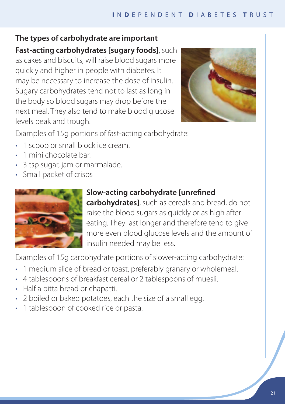## **The types of carbohydrate are important**

**Fast-acting carbohydrates [sugary foods]**, such as cakes and biscuits, will raise blood sugars more quickly and higher in people with diabetes. It may be necessary to increase the dose of insulin. Sugary carbohydrates tend not to last as long in the body so blood sugars may drop before the next meal. They also tend to make blood glucose levels peak and trough.



Examples of 15g portions of fast-acting carbohydrate:

- 1 scoop or small block ice cream.
- 1 mini chocolate bar.
- 3 tsp sugar, jam or marmalade.
- • Small packet of crisps



# **Slow-acting carbohydrate [unrefined**

**carbohydrates]**, such as cereals and bread, do not raise the blood sugars as quickly or as high after eating. They last longer and therefore tend to give more even blood glucose levels and the amount of insulin needed may be less.

Examples of 15g carbohydrate portions of slower-acting carbohydrate:

- 1 medium slice of bread or toast, preferably granary or wholemeal.
- 4 tablespoons of breakfast cereal or 2 tablespoons of muesli.
- Half a pitta bread or chapatti.
- 2 boiled or baked potatoes, each the size of a small egg.
- 1 tablespoon of cooked rice or pasta.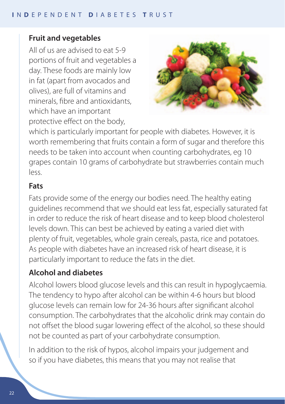## **Fruit and vegetables**

All of us are advised to eat 5-9 portions of fruit and vegetables a day. These foods are mainly low in fat (apart from avocados and olives), are full of vitamins and minerals, fibre and antioxidants, which have an important protective effect on the body,



which is particularly important for people with diabetes. However, it is worth remembering that fruits contain a form of sugar and therefore this needs to be taken into account when counting carbohydrates, eg 10 grapes contain 10 grams of carbohydrate but strawberries contain much  $| \rho \varsigma \varsigma |$ 

#### **Fats**

Fats provide some of the energy our bodies need. The healthy eating guidelines recommend that we should eat less fat, especially saturated fat in order to reduce the risk of heart disease and to keep blood cholesterol levels down. This can best be achieved by eating a varied diet with plenty of fruit, vegetables, whole grain cereals, pasta, rice and potatoes. As people with diabetes have an increased risk of heart disease, it is particularly important to reduce the fats in the diet.

## **Alcohol and diabetes**

Alcohol lowers blood glucose levels and this can result in hypoglycaemia. The tendency to hypo after alcohol can be within 4-6 hours but blood glucose levels can remain low for 24-36 hours after significant alcohol consumption. The carbohydrates that the alcoholic drink may contain do not offset the blood sugar lowering effect of the alcohol, so these should not be counted as part of your carbohydrate consumption.

In addition to the risk of hypos, alcohol impairs your judgement and so if you have diabetes, this means that you may not realise that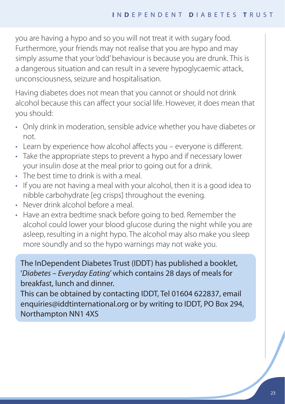you are having a hypo and so you will not treat it with sugary food. Furthermore, your friends may not realise that you are hypo and may simply assume that your 'odd' behaviour is because you are drunk. This is a dangerous situation and can result in a severe hypoglycaemic attack, unconsciousness, seizure and hospitalisation.

Having diabetes does not mean that you cannot or should not drink alcohol because this can affect your social life. However, it does mean that you should:

- Only drink in moderation, sensible advice whether you have diabetes or not.
- Learn by experience how alcohol affects you everyone is different.
- Take the appropriate steps to prevent a hypo and if necessary lower your insulin dose at the meal prior to going out for a drink.
- The best time to drink is with a meal.
- If you are not having a meal with your alcohol, then it is a good idea to nibble carbohydrate [eg crisps] throughout the evening.
- Never drink alcohol before a meal
- • Have an extra bedtime snack before going to bed. Remember the alcohol could lower your blood glucose during the night while you are asleep, resulting in a night hypo. The alcohol may also make you sleep more soundly and so the hypo warnings may not wake you.

The InDependent Diabetes Trust (IDDT) has published a booklet, '*Diabetes – Everyday Eating*'which contains 28 days of meals for breakfast, lunch and dinner.

This can be obtained by contacting IDDT, Tel 01604 622837, email enquiries@iddtinternational.org or by writing to IDDT, PO Box 294, Northampton NN1 4XS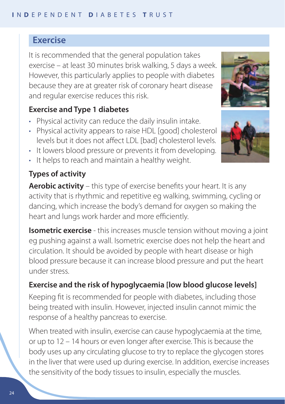# **Exercise**

It is recommended that the general population takes exercise – at least 30 minutes brisk walking, 5 days a week. However, this particularly applies to people with diabetes because they are at greater risk of coronary heart disease and regular exercise reduces this risk.

# **Exercise and Type 1 diabetes**

- Physical activity can reduce the daily insulin intake.
- Physical activity appears to raise HDL [good] cholesterol levels but it does not affect LDL [bad] cholesterol levels.
- It lowers blood pressure or prevents it from developing.
- It helps to reach and maintain a healthy weight.

# **Types of activity**

**Aerobic activity** – this type of exercise benefits your heart. It is any activity that is rhythmic and repetitive eg walking, swimming, cycling or dancing, which increase the body's demand for oxygen so making the heart and lungs work harder and more efficiently.

**Isometric exercise** - this increases muscle tension without moving a joint eg pushing against a wall. Isometric exercise does not help the heart and circulation. It should be avoided by people with heart disease or high blood pressure because it can increase blood pressure and put the heart under stress.

# **Exercise and the risk of hypoglycaemia [low blood glucose levels]**

Keeping fit is recommended for people with diabetes, including those being treated with insulin. However, injected insulin cannot mimic the response of a healthy pancreas to exercise.

When treated with insulin, exercise can cause hypoglycaemia at the time, or up to 12 – 14 hours or even longer after exercise. This is because the body uses up any circulating glucose to try to replace the glycogen stores in the liver that were used up during exercise. In addition, exercise increases the sensitivity of the body tissues to insulin, especially the muscles.



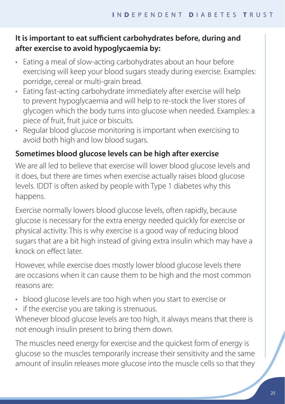# **It is important to eat sufficient carbohydrates before, during and after exercise to avoid hypoglycaemia by:**

- Eating a meal of slow-acting carbohydrates about an hour before exercising will keep your blood sugars steady during exercise. Examples: porridge, cereal or multi-grain bread.
- Eating fast-acting carbohydrate immediately after exercise will help to prevent hypoglycaemia and will help to re-stock the liver stores of glycogen which the body turns into glucose when needed. Examples: a piece of fruit, fruit juice or biscuits.
- Regular blood glucose monitoring is important when exercising to avoid both high and low blood sugars.

## **Sometimes blood glucose levels can be high after exercise**

We are all led to believe that exercise will lower blood glucose levels and it does, but there are times when exercise actually raises blood glucose levels. IDDT is often asked by people with Type 1 diabetes why this happens.

Exercise normally lowers blood glucose levels, often rapidly, because glucose is necessary for the extra energy needed quickly for exercise or physical activity. This is why exercise is a good way of reducing blood sugars that are a bit high instead of giving extra insulin which may have a knock on effect later.

However, while exercise does mostly lower blood glucose levels there are occasions when it can cause them to be high and the most common reasons are:

- blood glucose levels are too high when you start to exercise or
- if the exercise you are taking is strenuous.

Whenever blood glucose levels are too high, it always means that there is not enough insulin present to bring them down.

The muscles need energy for exercise and the quickest form of energy is glucose so the muscles temporarily increase their sensitivity and the same amount of insulin releases more glucose into the muscle cells so that they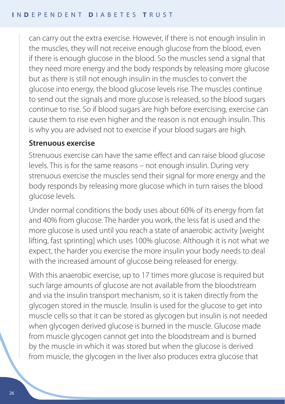can carry out the extra exercise. However, if there is not enough insulin in the muscles, they will not receive enough glucose from the blood, even if there is enough glucose in the blood. So the muscles send a signal that they need more energy and the body responds by releasing more glucose but as there is still not enough insulin in the muscles to convert the glucose into energy, the blood glucose levels rise. The muscles continue to send out the signals and more glucose is released, so the blood sugars continue to rise. So if blood sugars are high before exercising, exercise can cause them to rise even higher and the reason is not enough insulin. This is why you are advised not to exercise if your blood sugars are high.

#### **Strenuous exercise**

Strenuous exercise can have the same effect and can raise blood glucose levels. This is for the same reasons – not enough insulin. During very strenuous exercise the muscles send their signal for more energy and the body responds by releasing more glucose which in turn raises the blood glucose levels.

Under normal conditions the body uses about 60% of its energy from fat and 40% from glucose. The harder you work, the less fat is used and the more glucose is used until you reach a state of anaerobic activity [weight lifting, fast sprinting] which uses 100% glucose. Although it is not what we expect, the harder you exercise the more insulin your body needs to deal with the increased amount of glucose being released for energy.

With this anaerobic exercise, up to 17 times more glucose is required but such large amounts of glucose are not available from the bloodstream and via the insulin transport mechanism, so it is taken directly from the glycogen stored in the muscle. Insulin is used for the glucose to get into muscle cells so that it can be stored as glycogen but insulin is not needed when glycogen derived glucose is burned in the muscle. Glucose made from muscle glycogen cannot get into the bloodstream and is burned by the muscle in which it was stored but when the glucose is derived from muscle, the glycogen in the liver also produces extra glucose that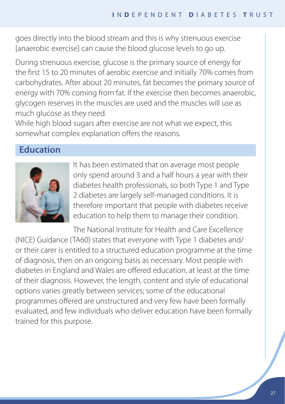goes directly into the blood stream and this is why strenuous exercise [anaerobic exercise] can cause the blood glucose levels to go up.

During strenuous exercise, glucose is the primary source of energy for the first 15 to 20 minutes of aerobic exercise and initially 70% comes from carbohydrates. After about 20 minutes, fat becomes the primary source of energy with 70% coming from fat. If the exercise then becomes anaerobic, glycogen reserves in the muscles are used and the muscles will use as much glucose as they need.

While high blood sugars after exercise are not what we expect, this somewhat complex explanation offers the reasons.

# **Education**



It has been estimated that on average most people only spend around 3 and a half hours a year with their diabetes health professionals, so both Type 1 and Type 2 diabetes are largely self-managed conditions. It is therefore important that people with diabetes receive education to help them to manage their condition.

The National Institute for Health and Care Excellence (NICE) Guidance (TA60) states that everyone with Type 1 diabetes and/ or their carer is entitled to a structured education programme at the time of diagnosis, then on an ongoing basis as necessary. Most people with diabetes in England and Wales are offered education, at least at the time of their diagnosis. However, the length, content and style of educational options varies greatly between services; some of the educational programmes offered are unstructured and very few have been formally evaluated, and few individuals who deliver education have been formally trained for this purpose.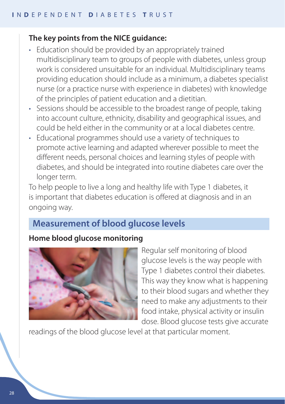#### **The key points from the NICE guidance:**

- Education should be provided by an appropriately trained multidisciplinary team to groups of people with diabetes, unless group work is considered unsuitable for an individual. Multidisciplinary teams providing education should include as a minimum, a diabetes specialist nurse (or a practice nurse with experience in diabetes) with knowledge of the principles of patient education and a dietitian.
- Sessions should be accessible to the broadest range of people, taking into account culture, ethnicity, disability and geographical issues, and could be held either in the community or at a local diabetes centre.
- Educational programmes should use a variety of techniques to promote active learning and adapted wherever possible to meet the different needs, personal choices and learning styles of people with diabetes, and should be integrated into routine diabetes care over the longer term.

To help people to live a long and healthy life with Type 1 diabetes, it is important that diabetes education is offered at diagnosis and in an ongoing way.

# **Measurement of blood glucose levels**

#### **Home blood glucose monitoring**



Regular self monitoring of blood glucose levels is the way people with Type 1 diabetes control their diabetes. This way they know what is happening to their blood sugars and whether they need to make any adjustments to their food intake, physical activity or insulin dose. Blood glucose tests give accurate

readings of the blood glucose level at that particular moment.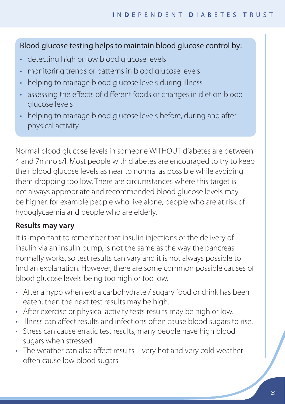## Blood glucose testing helps to maintain blood glucose control by:

- detecting high or low blood glucose levels
- monitoring trends or patterns in blood glucose levels
- helping to manage blood glucose levels during illness
- assessing the effects of different foods or changes in diet on blood glucose levels
- helping to manage blood glucose levels before, during and after physical activity.

Normal blood glucose levels in someone WITHOUT diabetes are between 4 and 7mmols/l. Most people with diabetes are encouraged to try to keep their blood glucose levels as near to normal as possible while avoiding them dropping too low. There are circumstances where this target is not always appropriate and recommended blood glucose levels may be higher, for example people who live alone, people who are at risk of hypoglycaemia and people who are elderly.

# **Results may vary**

It is important to remember that insulin injections or the delivery of insulin via an insulin pump, is not the same as the way the pancreas normally works, so test results can vary and it is not always possible to find an explanation. However, there are some common possible causes of blood glucose levels being too high or too low.

- After a hypo when extra carbohydrate / sugary food or drink has been eaten, then the next test results may be high.
- After exercise or physical activity tests results may be high or low.
- Illness can affect results and infections often cause blood sugars to rise.
- Stress can cause erratic test results, many people have high blood sugars when stressed.
- The weather can also affect results very hot and very cold weather often cause low blood sugars.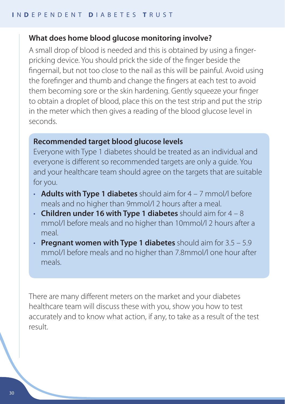#### **What does home blood glucose monitoring involve?**

A small drop of blood is needed and this is obtained by using a fingerpricking device. You should prick the side of the finger beside the fingernail, but not too close to the nail as this will be painful. Avoid using the forefinger and thumb and change the fingers at each test to avoid them becoming sore or the skin hardening. Gently squeeze your finger to obtain a droplet of blood, place this on the test strip and put the strip in the meter which then gives a reading of the blood glucose level in seconds.

## **Recommended target blood glucose levels**

Everyone with Type 1 diabetes should be treated as an individual and everyone is different so recommended targets are only a guide. You and your healthcare team should agree on the targets that are suitable for you.

- **Adults with Type 1 diabetes** should aim for 4 7 mmol/l before meals and no higher than 9mmol/l 2 hours after a meal.
- • **Children under 16 with Type 1 diabetes** should aim for 4 8 mmol/l before meals and no higher than 10mmol/l 2 hours after a meal.
- **Pregnant women with Type 1 diabetes** should aim for 3.5 5.9 mmol/l before meals and no higher than 7.8mmol/l one hour after meals.

There are many different meters on the market and your diabetes healthcare team will discuss these with you, show you how to test accurately and to know what action, if any, to take as a result of the test result.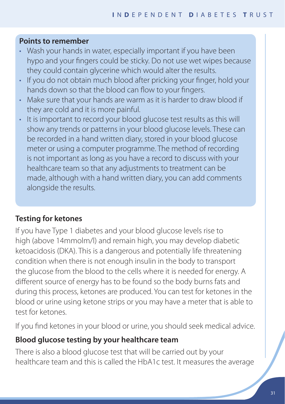#### **Points to remember**

- Wash your hands in water, especially important if you have been hypo and your fingers could be sticky. Do not use wet wipes because they could contain glycerine which would alter the results.
- If you do not obtain much blood after pricking your finger, hold your hands down so that the blood can flow to your fingers.
- Make sure that your hands are warm as it is harder to draw blood if they are cold and it is more painful.
- It is important to record your blood glucose test results as this will show any trends or patterns in your blood glucose levels. These can be recorded in a hand written diary, stored in your blood glucose meter or using a computer programme. The method of recording is not important as long as you have a record to discuss with your healthcare team so that any adjustments to treatment can be made, although with a hand written diary, you can add comments alongside the results.

## **Testing for ketones**

If you have Type 1 diabetes and your blood glucose levels rise to high (above 14mmolm/l) and remain high, you may develop diabetic ketoacidosis (DKA). This is a dangerous and potentially life threatening condition when there is not enough insulin in the body to transport the glucose from the blood to the cells where it is needed for energy. A different source of energy has to be found so the body burns fats and during this process, ketones are produced. You can test for ketones in the blood or urine using ketone strips or you may have a meter that is able to test for ketones.

If you find ketones in your blood or urine, you should seek medical advice.

#### **Blood glucose testing by your healthcare team**

There is also a blood glucose test that will be carried out by your healthcare team and this is called the HbA1c test. It measures the average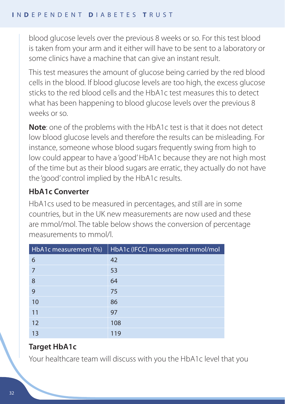blood glucose levels over the previous 8 weeks or so. For this test blood is taken from your arm and it either will have to be sent to a laboratory or some clinics have a machine that can give an instant result.

This test measures the amount of glucose being carried by the red blood cells in the blood. If blood glucose levels are too high, the excess glucose sticks to the red blood cells and the HbA1c test measures this to detect what has been happening to blood glucose levels over the previous 8 weeks or so.

**Note**: one of the problems with the HbA1c test is that it does not detect low blood glucose levels and therefore the results can be misleading. For instance, someone whose blood sugars frequently swing from high to low could appear to have a 'good' HbA1c because they are not high most of the time but as their blood sugars are erratic, they actually do not have the 'good' control implied by the HbA1c results.

# **HbA1c Converter**

HbA1cs used to be measured in percentages, and still are in some countries, but in the UK new measurements are now used and these are mmol/mol. The table below shows the conversion of percentage measurements to mmol/l.

| HbA1c measurement (%) | HbA1c (IFCC) measurement mmol/mol |
|-----------------------|-----------------------------------|
| 6                     | 42                                |
| 7                     | 53                                |
| 8                     | 64                                |
| 9                     | 75                                |
| 10                    | 86                                |
| 11                    | 97                                |
| 12                    | 108                               |
| 13                    | 119                               |

# **Target HbA1c**

Your healthcare team will discuss with you the HbA1c level that you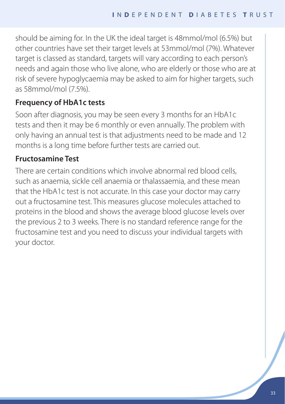should be aiming for. In the UK the ideal target is 48mmol/mol (6.5%) but other countries have set their target levels at 53mmol/mol (7%). Whatever target is classed as standard, targets will vary according to each person's needs and again those who live alone, who are elderly or those who are at risk of severe hypoglycaemia may be asked to aim for higher targets, such as 58mmol/mol (7.5%).

## **Frequency of HbA1c tests**

Soon after diagnosis, you may be seen every 3 months for an HbA1c tests and then it may be 6 monthly or even annually. The problem with only having an annual test is that adjustments need to be made and 12 months is a long time before further tests are carried out.

## **Fructosamine Test**

There are certain conditions which involve abnormal red blood cells, such as anaemia, sickle cell anaemia or thalassaemia, and these mean that the HbA1c test is not accurate. In this case your doctor may carry out a fructosamine test. This measures glucose molecules attached to proteins in the blood and shows the average blood glucose levels over the previous 2 to 3 weeks. There is no standard reference range for the fructosamine test and you need to discuss your individual targets with your doctor.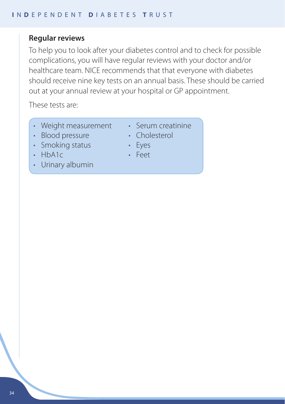#### **Regular reviews**

To help you to look after your diabetes control and to check for possible complications, you will have regular reviews with your doctor and/or healthcare team. NICE recommends that that everyone with diabetes should receive nine key tests on an annual basis. These should be carried out at your annual review at your hospital or GP appointment.

These tests are:

- Weight measurement
- • Serum creatinine
- Blood pressure
- Smoking status
- • HbA1c
- Urinary albumin
- Cholesterol
- Eyes
- Feet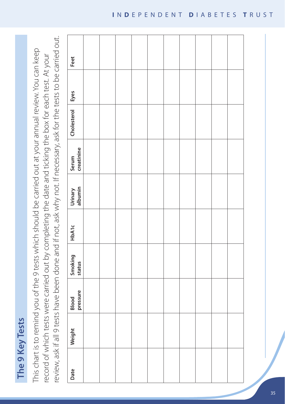The 9 Key Tests **The 9 Key Tests**

review, ask if all 9 tests have been done and if not, ask why not. If necessary, ask for the tests to be carried out. review, ask if all 9 tests have been done and if not, ask why not. If necessary, ask for the tests to be carried out. This chart is to remind you of the 9 tests which should be carried out at your annual review. You can keep This chart is to remind you of the 9 tests which should be carried out at your annual review. You can keep record of which tests were carried out by completing the date and ticking the box for each test. At your record of which tests were carried out by completing the date and ticking the box for each test. At your

| Feet                |  |  |  |  |  |
|---------------------|--|--|--|--|--|
|                     |  |  |  |  |  |
| Cholesterol Eyes    |  |  |  |  |  |
| Serum<br>creatinine |  |  |  |  |  |
| Urinary<br>albumin  |  |  |  |  |  |
| HbA1c               |  |  |  |  |  |
| Smoking<br>status   |  |  |  |  |  |
| Blood<br>pressure   |  |  |  |  |  |
| Weight              |  |  |  |  |  |
| Date                |  |  |  |  |  |